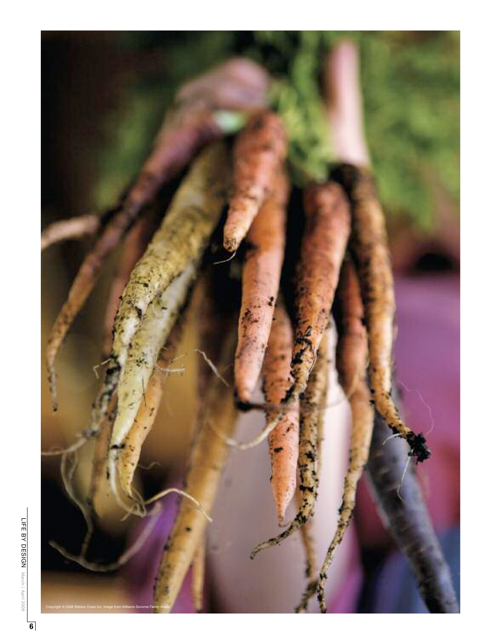

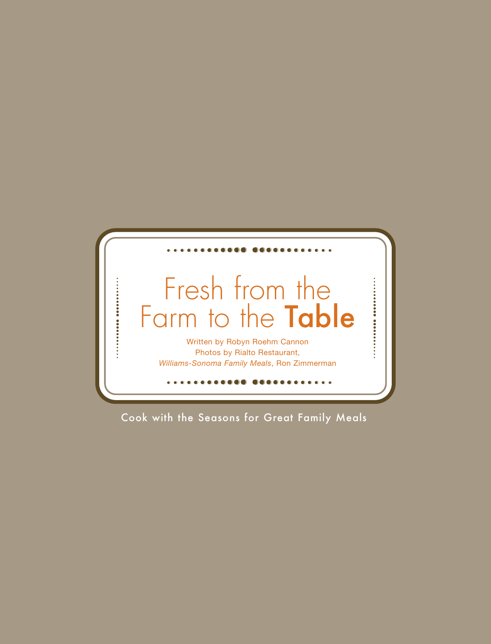

Cook with the Seasons for Great Family Meals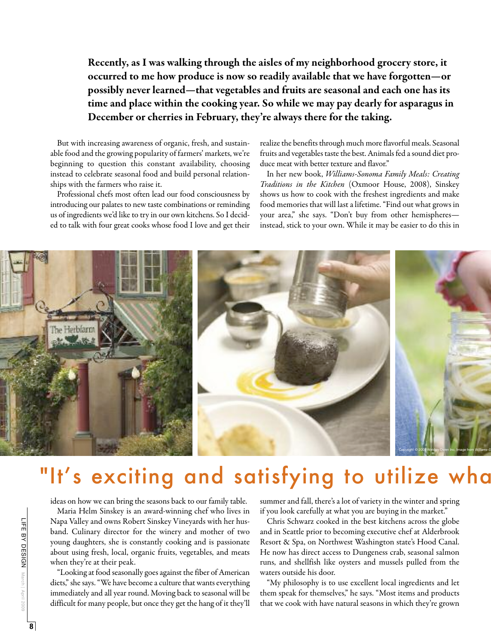Recently, as I was walking through the aisles of my neighborhood grocery store, it occurred to me how produce is now so readily available that we have forgotten—or possibly never learned—that vegetables and fruits are seasonal and each one has its time and place within the cooking year. So while we may pay dearly for asparagus in December or cherries in February, they're always there for the taking.

But with increasing awareness of organic, fresh, and sustainable food and the growing popularity of farmers' markets, we're beginning to question this constant availability, choosing instead to celebrate seasonal food and build personal relationships with the farmers who raise it.

Professional chefs most often lead our food consciousness by introducing our palates to new taste combinations or reminding us of ingredients we'd like to try in our own kitchens. So I decided to talk with four great cooks whose food I love and get their realize the benefits through much more flavorful meals. Seasonal fruits and vegetables taste the best. Animals fed a sound diet produce meat with better texture and flavor."

In her new book, Williams-Sonoma Family Meals: Creating Traditions in the Kitchen (Oxmoor House, 2008), Sinskey shows us how to cook with the freshest ingredients and make food memories that will last a lifetime. "Find out what grows in your area," she says. "Don't buy from other hemispheres instead, stick to your own. While it may be easier to do this in



## "It's exciting and satisfying to utilize wha

ideas on how we can bring the seasons back to our family table.

Maria Helm Sinskey is an award-winning chef who lives in Napa Valley and owns Robert Sinskey Vineyards with her husband. Culinary director for the winery and mother of two young daughters, she is constantly cooking and is passionate about using fresh, local, organic fruits, vegetables, and meats when they're at their peak.

"Looking at food seasonally goes against the fiber of American diets," she says. "We have become a culture that wants everything immediately and all year round. Moving back to seasonal will be difficult for many people, but once they get the hang of it they'll summer and fall, there's a lot of variety in the winter and spring if you look carefully at what you are buying in the market."

Chris Schwarz cooked in the best kitchens across the globe and in Seattle prior to becoming executive chef at Alderbrook Resort & Spa, on Northwest Washington state's Hood Canal. He now has direct access to Dungeness crab, seasonal salmon runs, and shellfish like oysters and mussels pulled from the waters outside his door.

"My philosophy is to use excellent local ingredients and let them speak for themselves," he says. "Most items and products that we cook with have natural seasons in which they're grown